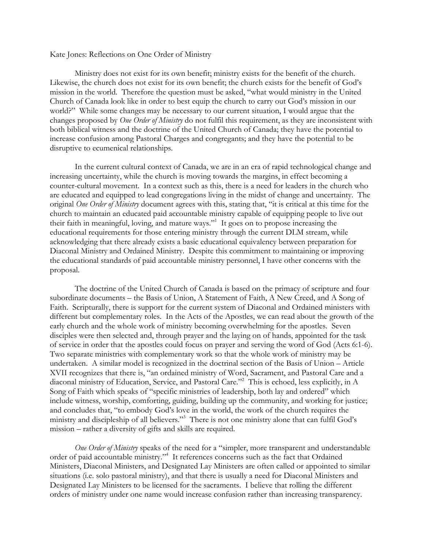Kate Jones: Reflections on One Order of Ministry

Ministry does not exist for its own benefit; ministry exists for the benefit of the church. Likewise, the church does not exist for its own benefit; the church exists for the benefit of God's mission in the world. Therefore the question must be asked, "what would ministry in the United Church of Canada look like in order to best equip the church to carry out God's mission in our world?" While some changes may be necessary to our current situation, I would argue that the changes proposed by *One Order of Ministry* do not fulfil this requirement, as they are inconsistent with both biblical witness and the doctrine of the United Church of Canada; they have the potential to increase confusion among Pastoral Charges and congregants; and they have the potential to be disruptive to ecumenical relationships.

In the current cultural context of Canada, we are in an era of rapid technological change and increasing uncertainty, while the church is moving towards the margins, in effect becoming a counter-cultural movement. In a context such as this, there is a need for leaders in the church who are educated and equipped to lead congregations living in the midst of change and uncertainty. The original *One Order of Ministry* document agrees with this, stating that, "it is critical at this time for the church to maintain an educated paid accountable ministry capable of equipping people to live out their faith in meaningful, loving, and mature ways."<sup>1</sup> It goes on to propose increasing the educational requirements for those entering ministry through the current DLM stream, while acknowledging that there already exists a basic educational equivalency between preparation for Diaconal Ministry and Ordained Ministry. Despite this commitment to maintaining or improving the educational standards of paid accountable ministry personnel, I have other concerns with the proposal.

The doctrine of the United Church of Canada is based on the primacy of scripture and four subordinate documents – the Basis of Union, A Statement of Faith, A New Creed, and A Song of Faith. Scripturally, there is support for the current system of Diaconal and Ordained ministers with different but complementary roles. In the Acts of the Apostles, we can read about the growth of the early church and the whole work of ministry becoming overwhelming for the apostles. Seven disciples were then selected and, through prayer and the laying on of hands, appointed for the task of service in order that the apostles could focus on prayer and serving the word of God (Acts 6:1-6). Two separate ministries with complementary work so that the whole work of ministry may be undertaken. A similar model is recognized in the doctrinal section of the Basis of Union – Article XVII recognizes that there is, "an ordained ministry of Word, Sacrament, and Pastoral Care and a diaconal ministry of Education, Service, and Pastoral Care."2 This is echoed, less explicitly, in A Song of Faith which speaks of "specific ministries of leadership, both lay and ordered" which include witness, worship, comforting, guiding, building up the community, and working for justice; and concludes that, "to embody God's love in the world, the work of the church requires the ministry and discipleship of all believers."<sup>3</sup> There is not one ministry alone that can fulfil God's mission – rather a diversity of gifts and skills are required.

*One Order of Ministry* speaks of the need for a "simpler, more transparent and understandable order of paid accountable ministry."<sup>4</sup> It references concerns such as the fact that Ordained Ministers, Diaconal Ministers, and Designated Lay Ministers are often called or appointed to similar situations (i.e. solo pastoral ministry), and that there is usually a need for Diaconal Ministers and Designated Lay Ministers to be licensed for the sacraments. I believe that rolling the different orders of ministry under one name would increase confusion rather than increasing transparency.